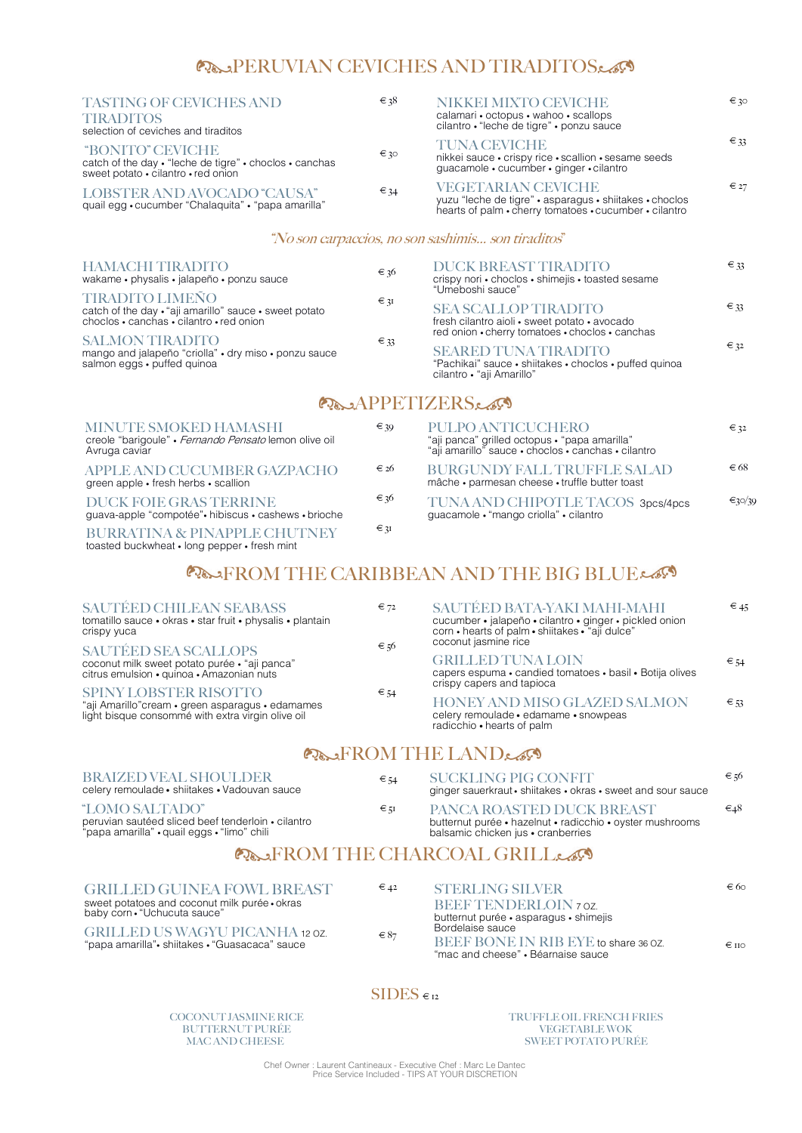# PERUVIAN CEVICHES AND TIRADITOS

| <b>TASTING OF CEVICHES AND</b><br><b>TIRADITOS</b><br>selection of ceviches and tiraditos                                        | $\epsilon$ 38 | NIKKEI MIXTO CEVICHE<br>calamari • octopus • wahoo • scallops<br>cilantro • "leche de tigre" • ponzu sauce                                     | € 30          |
|----------------------------------------------------------------------------------------------------------------------------------|---------------|------------------------------------------------------------------------------------------------------------------------------------------------|---------------|
| <i><b>"BONITO" CEVICHE</b></i><br>catch of the day • "leche de tigre" • choclos • canchas<br>sweet potato • cilantro • red onion | $\epsilon$ 30 | <b>TUNA CEVICHE</b><br>nikkei sauce · crispy rice · scallion · sesame seeds<br>guacamole · cucumber · ginger · cilantro                        | $\epsilon$ 33 |
| LOBSTER AND AVOCADO "CAUSA"<br>quail egg · cucumber "Chalaquita" · "papa amarilla"                                               | $\epsilon$ 34 | <b>VEGETARIAN CEVICHE</b><br>yuzu "leche de tigre" • asparagus • shiitakes • choclos<br>hearts of palm • cherry tomatoes • cucumber • cilantro | $\epsilon$ 27 |

### "No son carpaccios, no son sashimis… son tiraditos"

#### 6 PULPO ANTICUCHERO "aji panca" grilled octopus • "papa amarilla" "aji amarillo" sauce • choclos • canchas • cilantro BURGUNDY FALL TRUFFLE SALAD mâche • parmesan cheese • truffle butter toast TUNA AND CHIPOTLE TACOS 3pcs/4pcs guacamole • "mango criolla" • cilantro  $\epsilon$  32  $\in 68$ €30/39

## **POLITROM THE CARIBBEAN AND THE BIG BLUELSS**

| <b>HAMACHI TIRADITO</b><br>wakame • physalis • jalapeño • ponzu sauce                                                        | $\epsilon$ 36   | DUCK BREAST TIRADITO<br>crispy nori · choclos · shimejis · toasted sesame<br>"Umeboshi sauce"                                   | $\epsilon$ 33 |
|------------------------------------------------------------------------------------------------------------------------------|-----------------|---------------------------------------------------------------------------------------------------------------------------------|---------------|
| <b>TIRADITO LIMEÑO</b><br>catch of the day . "aji amarillo" sauce . sweet potato<br>choclos · canchas · cilantro · red onion | $\epsilon_{3}$  | <b>SEA SCALLOP TIRADITO</b><br>fresh cilantro aioli · sweet potato · avocado<br>red onion • cherry tomatoes • choclos • canchas | $\epsilon$ 33 |
| <b>SALMON TIRADITO</b><br>mango and jalapeño "criolla" · dry miso · ponzu sauce<br>salmon eggs · puffed quinoa               | $\epsilon_{33}$ | <b>SEARED TUNA TIRADITO</b><br>"Pachikai" sauce • shiitakes • choclos • puffed quinoa<br>cilantro • "aji Amarillo"              | $\epsilon$ 32 |

## **PRAPPETIZERS**

| <b>MINUTE SMOKED HAMASHI</b><br>creole "barigoule" • Fernando Pensato lemon olive oil<br>Avruga caviar | € 39 |
|--------------------------------------------------------------------------------------------------------|------|
| APPLE AND CUCUMBER GAZPACHO<br>green apple • fresh herbs • scallion                                    | € 26 |
| <b>DUCK FOIE GRAS TERRINE</b><br>guava-apple "compotée". hibiscus . cashews . brioche                  | € 36 |
| <b>BURRATINA &amp; PINAPPLE CHUTNEY</b><br>toasted buckwheat • long pepper • fresh mint                | ∈ 3I |

 $\varepsilon$  51 PANCA ROASTED DUCK BREAST butternut purée • hazelnut • radicchio • oyster mushrooms balsamic chicken jus • cranberries €48

## PARTITUDE CHARCOAL GRILL

 $€$  54

#### GRILLED GUINEA FOWL BREAST sweet potatoes and coconut milk purée • okras baby corn • "Uchucuta sauce" GRILLED US WAGYU PICANHA 12 OZ. "papa amarilla"• shiitakes • "Guasacaca" sauce  $€ 42$  $\epsilon$  87 STERLING SILVER BEEF TENDERLOIN 7 OZ. butternut purée • asparagus • shimejis Bordelaise sauce BEEF BONE IN RIB EYE to share 36 OZ. "mac and cheese" • Béarnaise sauce € 60  $\in$  110

## $SIDES \epsilon_{12}$

| <b>SAUTÉED CHILEAN SEABASS</b><br>tomatillo sauce · okras · star fruit · physalis · plantain<br>crispy yuca                            | $\epsilon$ 72 | SAUTÉED BATA-YAKI MAHI-MAHI<br>cucumber • jalapeño • cilantro • ginger • pickled onion<br>corn • hearts of palm • shiitakes • "aji dulce" | $\epsilon$ 45   |
|----------------------------------------------------------------------------------------------------------------------------------------|---------------|-------------------------------------------------------------------------------------------------------------------------------------------|-----------------|
| <b>SAUTÉED SEA SCALLOPS</b>                                                                                                            | $\epsilon$ 56 | coconut jasmine rice                                                                                                                      |                 |
| coconut milk sweet potato purée · "aji panca"<br>citrus emulsion • quinoa • Amazonian nuts                                             |               | <b>GRILLED TUNA LOIN</b><br>capers espuma · candied tomatoes · basil · Botija olives<br>crispy capers and tapioca                         | $\epsilon$ 54   |
| <b>SPINY LOBSTER RISOTTO</b><br>"aji Amarillo" cream · green asparagus · edamames<br>light bisque consommé with extra virgin olive oil | $\epsilon$ 54 | <b>HONEY AND MISO GLAZED SALMON</b><br>celery remoulade · edamame · snowpeas<br>radicchio • hearts of palm                                | $\epsilon_{53}$ |
| $\sim$                                                                                                                                 |               | $P_{\rm{D}}$                                                                                                                              |                 |

## ProfROM THE LANDE

| <b>BRAIZED VEAL SHOULDER</b> |  |
|------------------------------|--|
|------------------------------|--|

celery remoulade • shiitakes • Vadouvan sauce

"LOMO SALTADO"

peruvian sautéed sliced beef tenderloin • cilantro "papa amarilla" • quail eggs • "limo" chili

SUCKLING PIG CONFIT ginger sauerkraut • shiitakes • okras • sweet and sour sauce  $∈$  56

COCONUT JASMINE RICE BUTTERNUT PURÉE MAC AND CHEESE

### TRUFFLE OIL FRENCH FRIES VEGETABLE WOK SWEET POTATO PURÉE

Chef Owner : Laurent Cantineaux - Executive Chef : Marc Le Dantec Price Service Included - TIPS AT YOUR DISCRETION